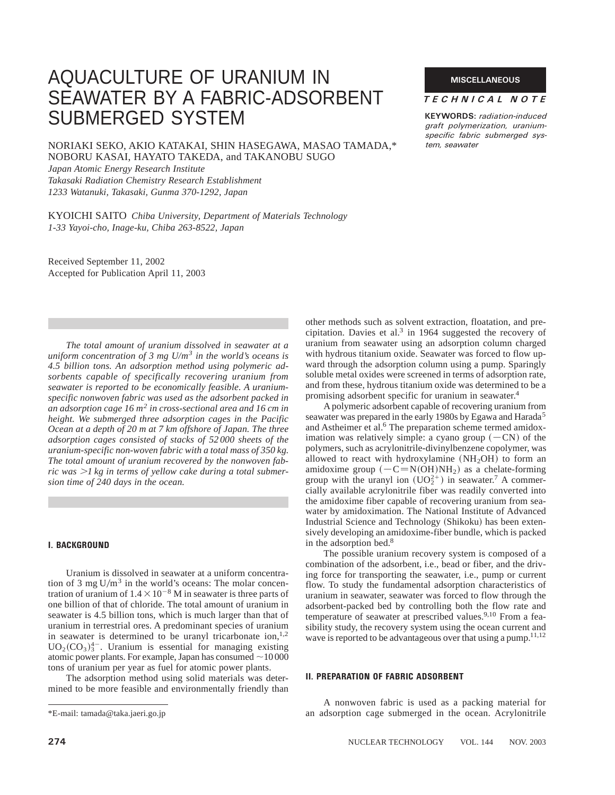# AQUACULTURE OF URANIUM IN SEAWATER BY A FABRIC-ADSORBENT SUBMERGED SYSTEM

NORIAKI SEKO, AKIO KATAKAI, SHIN HASEGAWA, MASAO TAMADA,\* NOBORU KASAI, HAYATO TAKEDA, and TAKANOBU SUGO

*Japan Atomic Energy Research Institute Takasaki Radiation Chemistry Research Establishment 1233 Watanuki, Takasaki, Gunma 370-1292, Japan*

KYOICHI SAITO *Chiba University, Department of Materials Technology 1-33 Yayoi-cho, Inage-ku, Chiba 263-8522, Japan*

Received September 11, 2002 Accepted for Publication April 11, 2003

*The total amount of uranium dissolved in seawater at a uniform concentration of 3 mg U/m<sup>3</sup> in the world's oceans is 4.5 billion tons. An adsorption method using polymeric adsorbents capable of specifically recovering uranium from seawater is reported to be economically feasible. A uraniumspecific nonwoven fabric was used as the adsorbent packed in an adsorption cage 16 m<sup>2</sup> in cross-sectional area and 16 cm in height. We submerged three adsorption cages in the Pacific Ocean at a depth of 20 m at 7 km offshore of Japan. The three adsorption cages consisted of stacks of 52 000 sheets of the uranium-specific non-woven fabric with a total mass of 350 kg. The total amount of uranium recovered by the nonwoven fab*ric was  $>l$  kg in terms of vellow cake during a total submer*sion time of 240 days in the ocean.*

### **I. BACKGROUND**

Uranium is dissolved in seawater at a uniform concentration of 3 mg  $U/m<sup>3</sup>$  in the world's oceans: The molar concentration of uranium of  $1.4 \times 10^{-8}$  M in seawater is three parts of one billion of that of chloride. The total amount of uranium in seawater is 4.5 billion tons, which is much larger than that of uranium in terrestrial ores. A predominant species of uranium in seawater is determined to be uranyl tricarbonate ion, $1,2$  $UO<sub>2</sub>(CO<sub>3</sub>)<sub>3</sub><sup>4-</sup>$ . Uranium is essential for managing existing atomic power plants. For example, Japan has consumed  $\sim$ 10 000 tons of uranium per year as fuel for atomic power plants.

The adsorption method using solid materials was determined to be more feasible and environmentally friendly than

#### **MISCELLANEOUS**

#### *TECHNICAL NOTE*

**KEYWORDS:** *radiation-induced graft polymerization, uraniumspecific fabric submerged system, seawater*

other methods such as solvent extraction, floatation, and precipitation. Davies et al.<sup>3</sup> in 1964 suggested the recovery of uranium from seawater using an adsorption column charged with hydrous titanium oxide. Seawater was forced to flow upward through the adsorption column using a pump. Sparingly soluble metal oxides were screened in terms of adsorption rate, and from these, hydrous titanium oxide was determined to be a promising adsorbent specific for uranium in seawater.4

A polymeric adsorbent capable of recovering uranium from seawater was prepared in the early 1980s by Egawa and Harada<sup>5</sup> and Astheimer et al.<sup>6</sup> The preparation scheme termed amidoximation was relatively simple: a cyano group  $(-CN)$  of the polymers, such as acrylonitrile-divinylbenzene copolymer, was allowed to react with hydroxylamine  $(NH<sub>2</sub>OH)$  to form an amidoxime group  $(-C=N(OH)NH<sub>2</sub>)$  as a chelate-forming group with the uranyl ion  $(UO_2^{2+})$  in seawater.<sup>7</sup> A commercially available acrylonitrile fiber was readily converted into the amidoxime fiber capable of recovering uranium from seawater by amidoximation. The National Institute of Advanced Industrial Science and Technology (Shikoku) has been extensively developing an amidoxime-fiber bundle, which is packed in the adsorption bed.8

The possible uranium recovery system is composed of a combination of the adsorbent, i.e., bead or fiber, and the driving force for transporting the seawater, i.e., pump or current flow. To study the fundamental adsorption characteristics of uranium in seawater, seawater was forced to flow through the adsorbent-packed bed by controlling both the flow rate and temperature of seawater at prescribed values.<sup>9,10</sup> From a feasibility study, the recovery system using the ocean current and wave is reported to be advantageous over that using a pump.<sup>11,12</sup>

## **II. PREPARATION OF FABRIC ADSORBENT**

A nonwoven fabric is used as a packing material for \*E-mail: tamada@taka.jaeri.go.jp an adsorption cage submerged in the ocean. Acrylonitrile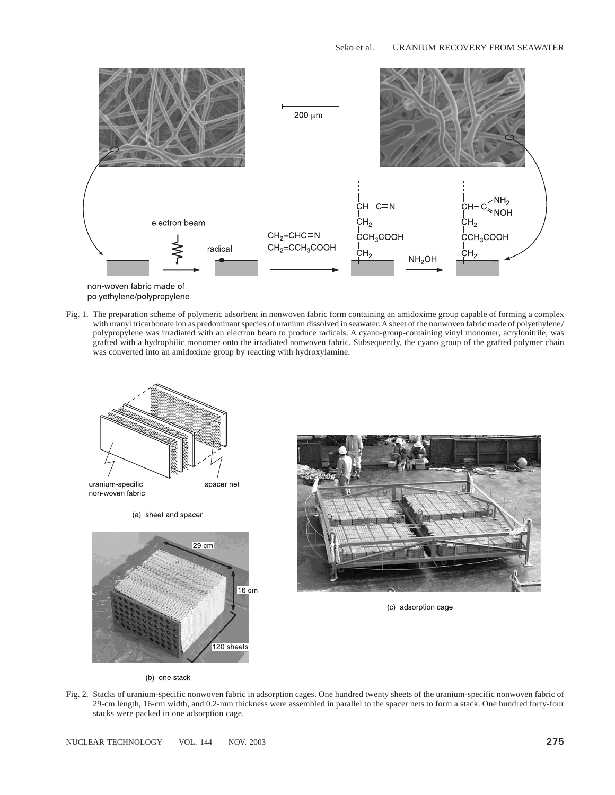

non-woven fabric made of polyethylene/polypropylene

Fig. 1. The preparation scheme of polymeric adsorbent in nonwoven fabric form containing an amidoxime group capable of forming a complex with uranyl tricarbonate ion as predominant species of uranium dissolved in seawater. A sheet of the nonwoven fabric made of polyethylene/ polypropylene was irradiated with an electron beam to produce radicals. A cyano-group-containing vinyl monomer, acrylonitrile, was grafted with a hydrophilic monomer onto the irradiated nonwoven fabric. Subsequently, the cyano group of the grafted polymer chain was converted into an amidoxime group by reacting with hydroxylamine.







(c) adsorption cage

- (b) one stack
- Fig. 2. Stacks of uranium-specific nonwoven fabric in adsorption cages. One hundred twenty sheets of the uranium-specific nonwoven fabric of 29-cm length, 16-cm width, and 0.2-mm thickness were assembled in parallel to the spacer nets to form a stack. One hundred forty-four stacks were packed in one adsorption cage.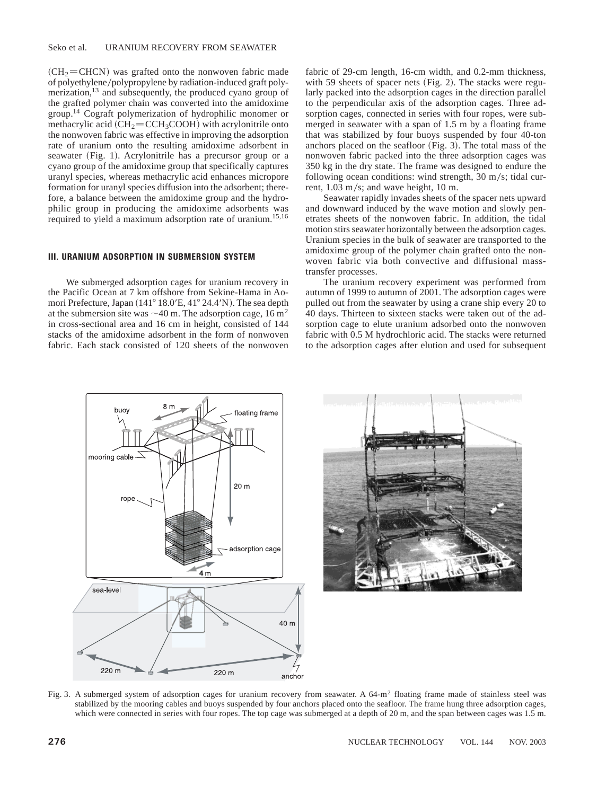$(CH<sub>2</sub>=CHCN)$  was grafted onto the nonwoven fabric made of polyethylene/polypropylene by radiation-induced graft polymerization,<sup>13</sup> and subsequently, the produced cyano group of the grafted polymer chain was converted into the amidoxime group.14 Cograft polymerization of hydrophilic monomer or methacrylic acid  $\overline{\text{CH}_2} = \text{CCH}_3\text{COOH}$  with acrylonitrile onto the nonwoven fabric was effective in improving the adsorption rate of uranium onto the resulting amidoxime adsorbent in seawater (Fig. 1). Acrylonitrile has a precursor group or a cyano group of the amidoxime group that specifically captures uranyl species, whereas methacrylic acid enhances micropore formation for uranyl species diffusion into the adsorbent; therefore, a balance between the amidoxime group and the hydrophilic group in producing the amidoxime adsorbents was required to yield a maximum adsorption rate of uranium.15,16

### **III. URANIUM ADSORPTION IN SUBMERSION SYSTEM**

We submerged adsorption cages for uranium recovery in the Pacific Ocean at 7 km offshore from Sekine-Hama in Aomori Prefecture, Japan (141° 18.0'E, 41° 24.4'N). The sea depth at the submersion site was  ${\sim}40$  m. The adsorption cage,  $16 \text{ m}^2$ in cross-sectional area and 16 cm in height, consisted of 144 stacks of the amidoxime adsorbent in the form of nonwoven fabric. Each stack consisted of 120 sheets of the nonwoven fabric of 29-cm length, 16-cm width, and 0.2-mm thickness, with 59 sheets of spacer nets  $(Fig. 2)$ . The stacks were regularly packed into the adsorption cages in the direction parallel to the perpendicular axis of the adsorption cages. Three adsorption cages, connected in series with four ropes, were submerged in seawater with a span of 1.5 m by a floating frame that was stabilized by four buoys suspended by four 40-ton anchors placed on the seafloor  $(Fig. 3)$ . The total mass of the nonwoven fabric packed into the three adsorption cages was 350 kg in the dry state. The frame was designed to endure the following ocean conditions: wind strength,  $30 \text{ m/s}$ ; tidal current,  $1.03$  m/s; and wave height, 10 m.

Seawater rapidly invades sheets of the spacer nets upward and downward induced by the wave motion and slowly penetrates sheets of the nonwoven fabric. In addition, the tidal motion stirs seawater horizontally between the adsorption cages. Uranium species in the bulk of seawater are transported to the amidoxime group of the polymer chain grafted onto the nonwoven fabric via both convective and diffusional masstransfer processes.

The uranium recovery experiment was performed from autumn of 1999 to autumn of 2001. The adsorption cages were pulled out from the seawater by using a crane ship every 20 to 40 days. Thirteen to sixteen stacks were taken out of the adsorption cage to elute uranium adsorbed onto the nonwoven fabric with 0.5 M hydrochloric acid. The stacks were returned to the adsorption cages after elution and used for subsequent



Fig. 3. A submerged system of adsorption cages for uranium recovery from seawater. A 64-m<sup>2</sup> floating frame made of stainless steel was stabilized by the mooring cables and buoys suspended by four anchors placed onto the seafloor. The frame hung three adsorption cages, which were connected in series with four ropes. The top cage was submerged at a depth of 20 m, and the span between cages was 1.5 m.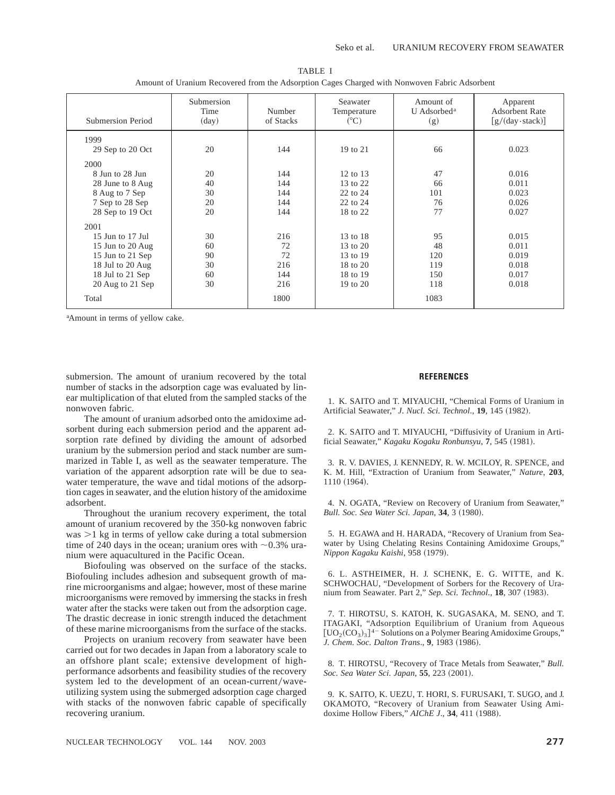| Submersion Period | Submersion<br>Time<br>$\rm (day)$ | Number<br>of Stacks | Seawater<br>Temperature<br>$(^{\circ}C)$ | Amount of<br>U Adsorbed <sup>a</sup><br>(g) | Apparent<br><b>Adsorbent Rate</b><br>$\left[\frac{g}{(day \cdot stack)}\right]$ |
|-------------------|-----------------------------------|---------------------|------------------------------------------|---------------------------------------------|---------------------------------------------------------------------------------|
| 1999              |                                   |                     |                                          |                                             |                                                                                 |
| 29 Sep to 20 Oct  | 20                                | 144                 | 19 to 21                                 | 66                                          | 0.023                                                                           |
| 2000              |                                   |                     |                                          |                                             |                                                                                 |
| 8 Jun to 28 Jun   | 20                                | 144                 | 12 to 13                                 | 47                                          | 0.016                                                                           |
| 28 June to 8 Aug  | 40                                | 144                 | 13 to 22                                 | 66                                          | 0.011                                                                           |
| 8 Aug to 7 Sep    | 30                                | 144                 | 22 to 24                                 | 101                                         | 0.023                                                                           |
| 7 Sep to 28 Sep   | 20                                | 144                 | 22 to 24                                 | 76                                          | 0.026                                                                           |
| 28 Sep to 19 Oct  | 20                                | 144                 | 18 to 22                                 | 77                                          | 0.027                                                                           |
| 2001              |                                   |                     |                                          |                                             |                                                                                 |
| 15 Jun to 17 Jul  | 30                                | 216                 | 13 to 18                                 | 95                                          | 0.015                                                                           |
| 15 Jun to 20 Aug  | 60                                | 72                  | 13 to 20                                 | 48                                          | 0.011                                                                           |
| 15 Jun to 21 Sep  | 90                                | 72                  | 13 to 19                                 | 120                                         | 0.019                                                                           |
| 18 Jul to 20 Aug  | 30                                | 216                 | 18 to 20                                 | 119                                         | 0.018                                                                           |
| 18 Jul to 21 Sep  | 60                                | 144                 | 18 to 19                                 | 150                                         | 0.017                                                                           |
| 20 Aug to 21 Sep  | 30                                | 216                 | 19 to 20                                 | 118                                         | 0.018                                                                           |
| Total             |                                   | 1800                |                                          | 1083                                        |                                                                                 |

TABLE I Amount of Uranium Recovered from the Adsorption Cages Charged with Nonwoven Fabric Adsorbent

a Amount in terms of yellow cake.

submersion. The amount of uranium recovered by the total number of stacks in the adsorption cage was evaluated by linear multiplication of that eluted from the sampled stacks of the nonwoven fabric.

The amount of uranium adsorbed onto the amidoxime adsorbent during each submersion period and the apparent adsorption rate defined by dividing the amount of adsorbed uranium by the submersion period and stack number are summarized in Table I, as well as the seawater temperature. The variation of the apparent adsorption rate will be due to seawater temperature, the wave and tidal motions of the adsorption cages in seawater, and the elution history of the amidoxime adsorbent.

Throughout the uranium recovery experiment, the total amount of uranium recovered by the 350-kg nonwoven fabric was  $>1$  kg in terms of yellow cake during a total submersion time of 240 days in the ocean; uranium ores with  $\sim$ 0.3% uranium were aquacultured in the Pacific Ocean.

Biofouling was observed on the surface of the stacks. Biofouling includes adhesion and subsequent growth of marine microorganisms and algae; however, most of these marine microorganisms were removed by immersing the stacks in fresh water after the stacks were taken out from the adsorption cage. The drastic decrease in ionic strength induced the detachment of these marine microorganisms from the surface of the stacks.

Projects on uranium recovery from seawater have been carried out for two decades in Japan from a laboratory scale to an offshore plant scale; extensive development of highperformance adsorbents and feasibility studies of the recovery system led to the development of an ocean-current/waveutilizing system using the submerged adsorption cage charged with stacks of the nonwoven fabric capable of specifically recovering uranium.

#### **REFERENCES**

1. K. SAITO and T. MIYAUCHI, "Chemical Forms of Uranium in Artificial Seawater," *J. Nucl. Sci. Technol.*, **19**, 145 (1982).

2. K. SAITO and T. MIYAUCHI, "Diffusivity of Uranium in Artificial Seawater," Kagaku Kogaku Ronbunsyu, 7, 545 (1981).

3. R. V. DAVIES, J. KENNEDY, R. W. MCILOY, R. SPENCE, and K. M. Hill, "Extraction of Uranium from Seawater," *Nature*, **203**, 1110 (1964).

4. N. OGATA, "Review on Recovery of Uranium from Seawater," *Bull. Soc. Sea Water Sci. Japan*, 34, 3 (1980).

5. H. EGAWA and H. HARADA, "Recovery of Uranium from Seawater by Using Chelating Resins Containing Amidoxime Groups," *Nippon Kagaku Kaishi*, 958 (1979).

6. L. ASTHEIMER, H. J. SCHENK, E. G. WITTE, and K. SCHWOCHAU, "Development of Sorbers for the Recovery of Uranium from Seawater. Part 2," *Sep. Sci. Technol.*, **18**, 307 (1983).

7. T. HIROTSU, S. KATOH, K. SUGASAKA, M. SENO, and T. ITAGAKI, "Adsorption Equilibrium of Uranium from Aqueous  $[UO<sub>2</sub>(CO<sub>3</sub>)<sub>3</sub>]$ <sup>4-</sup> Solutions on a Polymer Bearing Amidoxime Groups," *J. Chem. Soc. Dalton Trans.*, 9, 1983 (1986).

8. T. HIROTSU, "Recovery of Trace Metals from Seawater," *Bull. Soc. Sea Water Sci. Japan*, 55, 223 (2001).

9. K. SAITO, K. UEZU, T. HORI, S. FURUSAKI, T. SUGO, and J. OKAMOTO, "Recovery of Uranium from Seawater Using Amidoxime Hollow Fibers," *AIChE J.*, **34**, 411 (1988).